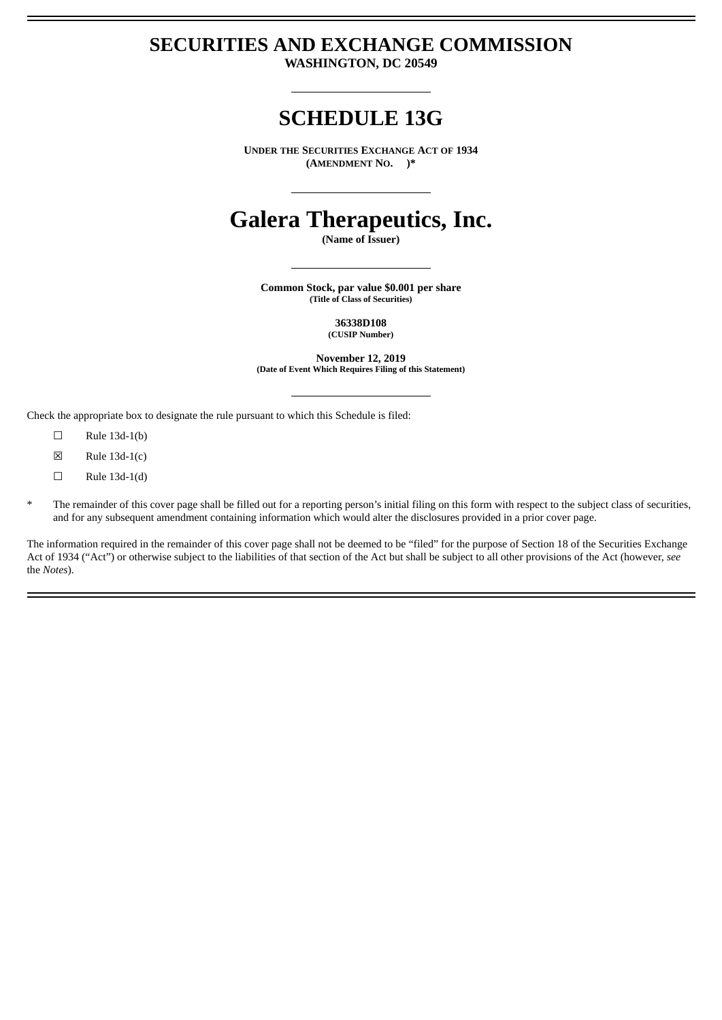# **SECURITIES AND EXCHANGE COMMISSION**

**WASHINGTON, DC 20549**

## **SCHEDULE 13G**

**UNDER THE SECURITIES EXCHANGE ACT OF 1934 (AMENDMENT NO. )\***

# **Galera Therapeutics, Inc.**

**(Name of Issuer)**

**Common Stock, par value \$0.001 per share (Title of Class of Securities)**

> **36338D108 (CUSIP Number)**

**November 12, 2019 (Date of Event Which Requires Filing of this Statement)**

Check the appropriate box to designate the rule pursuant to which this Schedule is filed:

- $\square$  Rule 13d-1(b)
- $\boxtimes$  Rule 13d-1(c)
- $\square$  Rule 13d-1(d)
- The remainder of this cover page shall be filled out for a reporting person's initial filing on this form with respect to the subject class of securities, and for any subsequent amendment containing information which would alter the disclosures provided in a prior cover page.

The information required in the remainder of this cover page shall not be deemed to be "filed" for the purpose of Section 18 of the Securities Exchange Act of 1934 ("Act") or otherwise subject to the liabilities of that section of the Act but shall be subject to all other provisions of the Act (however, *see* the *Notes*).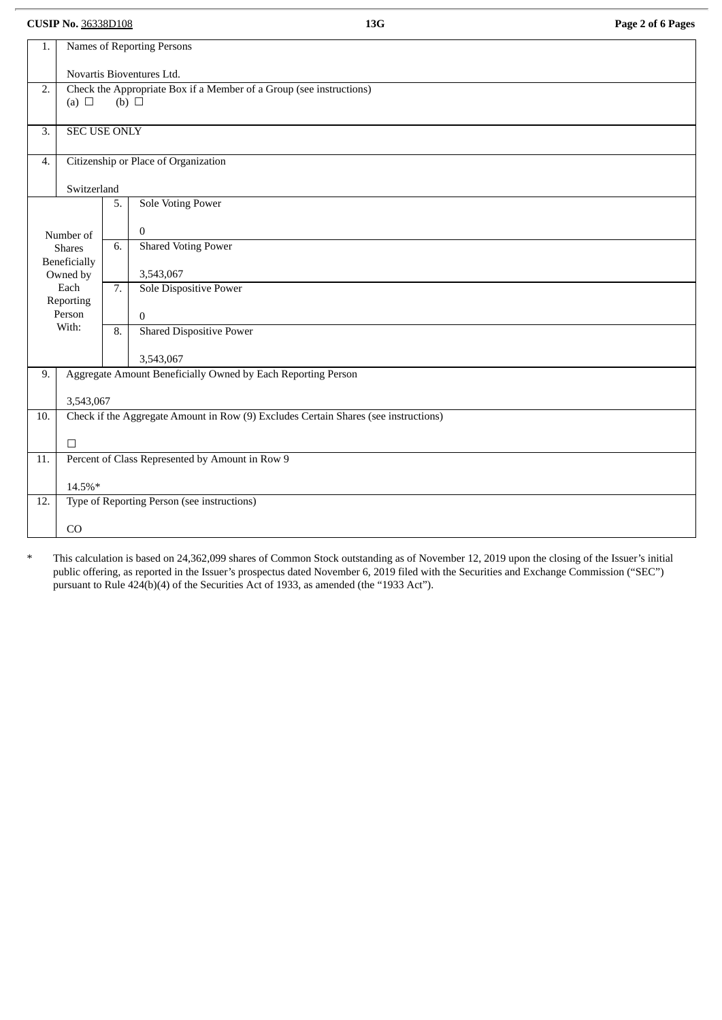**CUSIP No.** 36338D108 **13G Page 2 of 6 Pages**

| 1.     |                                                                                                      |    | Names of Reporting Persons      |  |  |  |
|--------|------------------------------------------------------------------------------------------------------|----|---------------------------------|--|--|--|
|        | Novartis Bioventures Ltd.                                                                            |    |                                 |  |  |  |
| 2.     | Check the Appropriate Box if a Member of a Group (see instructions)<br>$(b)$ $\square$<br>(a) $\Box$ |    |                                 |  |  |  |
|        |                                                                                                      |    |                                 |  |  |  |
| 3.     | <b>SEC USE ONLY</b>                                                                                  |    |                                 |  |  |  |
| 4.     | Citizenship or Place of Organization                                                                 |    |                                 |  |  |  |
|        | Switzerland                                                                                          |    |                                 |  |  |  |
|        |                                                                                                      | 5. | <b>Sole Voting Power</b>        |  |  |  |
|        | Number of                                                                                            |    | $\bf{0}$                        |  |  |  |
|        | <b>Shares</b>                                                                                        | 6. | <b>Shared Voting Power</b>      |  |  |  |
|        | Beneficially<br>Owned by                                                                             |    | 3,543,067                       |  |  |  |
|        | Each<br>Reporting                                                                                    | 7. | Sole Dispositive Power          |  |  |  |
|        | Person                                                                                               |    | $\mathbf{0}$                    |  |  |  |
|        | With:                                                                                                | 8. | <b>Shared Dispositive Power</b> |  |  |  |
|        |                                                                                                      |    | 3,543,067                       |  |  |  |
|        | Aggregate Amount Beneficially Owned by Each Reporting Person<br>9.                                   |    |                                 |  |  |  |
|        | 3,543,067                                                                                            |    |                                 |  |  |  |
| 10.    | Check if the Aggregate Amount in Row (9) Excludes Certain Shares (see instructions)                  |    |                                 |  |  |  |
|        | $\Box$                                                                                               |    |                                 |  |  |  |
|        | Percent of Class Represented by Amount in Row 9<br>11.                                               |    |                                 |  |  |  |
| 14.5%* |                                                                                                      |    |                                 |  |  |  |
| 12.    | Type of Reporting Person (see instructions)                                                          |    |                                 |  |  |  |
|        | CO                                                                                                   |    |                                 |  |  |  |

\* This calculation is based on 24,362,099 shares of Common Stock outstanding as of November 12, 2019 upon the closing of the Issuer's initial public offering, as reported in the Issuer's prospectus dated November 6, 2019 filed with the Securities and Exchange Commission ("SEC") pursuant to Rule 424(b)(4) of the Securities Act of 1933, as amended (the "1933 Act").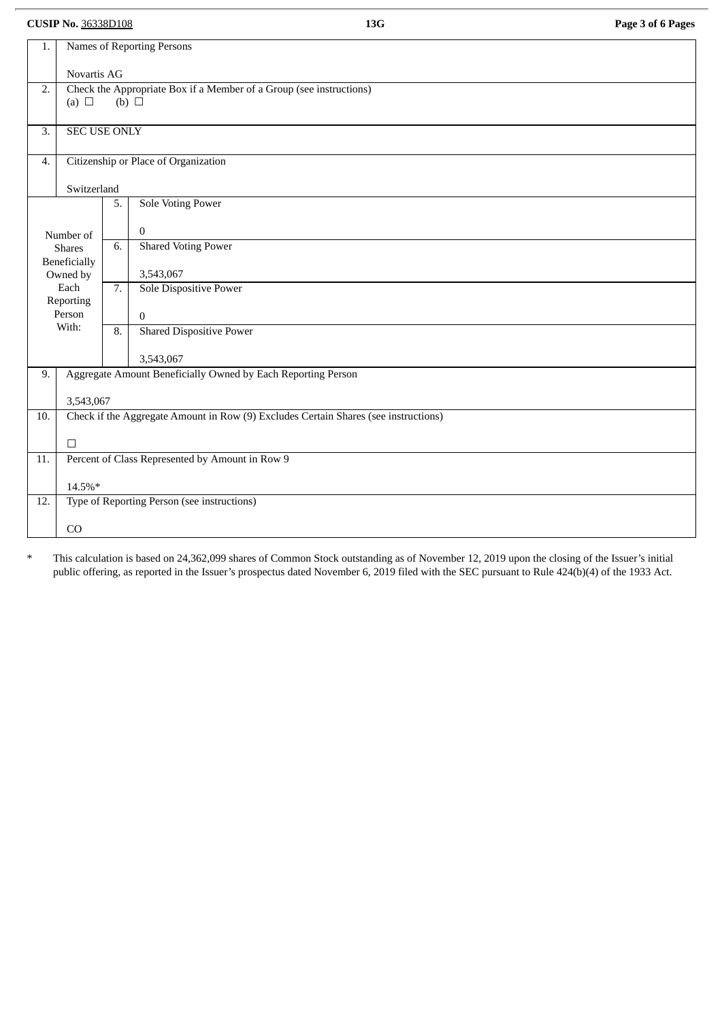**CUSIP No.** 36338D108 **13G Page 3 of 6 Pages**

| 1.                                                                 | Names of Reporting Persons                                                                 |                                      |                                 |  |  |  |
|--------------------------------------------------------------------|--------------------------------------------------------------------------------------------|--------------------------------------|---------------------------------|--|--|--|
|                                                                    | Novartis AG                                                                                |                                      |                                 |  |  |  |
| 2.                                                                 | Check the Appropriate Box if a Member of a Group (see instructions)                        |                                      |                                 |  |  |  |
|                                                                    | (a) $\Box$<br>(b) $\Box$                                                                   |                                      |                                 |  |  |  |
| 3.                                                                 | SEC USE ONLY                                                                               |                                      |                                 |  |  |  |
| 4.                                                                 |                                                                                            | Citizenship or Place of Organization |                                 |  |  |  |
|                                                                    |                                                                                            | Switzerland                          |                                 |  |  |  |
|                                                                    |                                                                                            | 5.                                   | <b>Sole Voting Power</b>        |  |  |  |
|                                                                    | Number of                                                                                  |                                      | $\mathbf{0}$                    |  |  |  |
|                                                                    | <b>Shares</b>                                                                              |                                      | <b>Shared Voting Power</b>      |  |  |  |
|                                                                    | Beneficially<br>Owned by                                                                   | 7.                                   | 3,543,067                       |  |  |  |
|                                                                    | Each<br>Reporting                                                                          |                                      | Sole Dispositive Power          |  |  |  |
|                                                                    | Person                                                                                     | $\overline{8}$ .                     | $\bf{0}$                        |  |  |  |
|                                                                    | With:                                                                                      |                                      | <b>Shared Dispositive Power</b> |  |  |  |
|                                                                    |                                                                                            |                                      | 3,543,067                       |  |  |  |
| Aggregate Amount Beneficially Owned by Each Reporting Person<br>9. |                                                                                            |                                      |                                 |  |  |  |
| 3,543,067                                                          |                                                                                            |                                      |                                 |  |  |  |
|                                                                    | Check if the Aggregate Amount in Row (9) Excludes Certain Shares (see instructions)<br>10. |                                      |                                 |  |  |  |
|                                                                    | $\Box$                                                                                     |                                      |                                 |  |  |  |
| 11.                                                                | Percent of Class Represented by Amount in Row 9                                            |                                      |                                 |  |  |  |
| 14.5%*                                                             |                                                                                            |                                      |                                 |  |  |  |
| 12.                                                                | Type of Reporting Person (see instructions)                                                |                                      |                                 |  |  |  |
|                                                                    | CO                                                                                         |                                      |                                 |  |  |  |

\* This calculation is based on 24,362,099 shares of Common Stock outstanding as of November 12, 2019 upon the closing of the Issuer's initial public offering, as reported in the Issuer's prospectus dated November 6, 2019 filed with the SEC pursuant to Rule 424(b)(4) of the 1933 Act.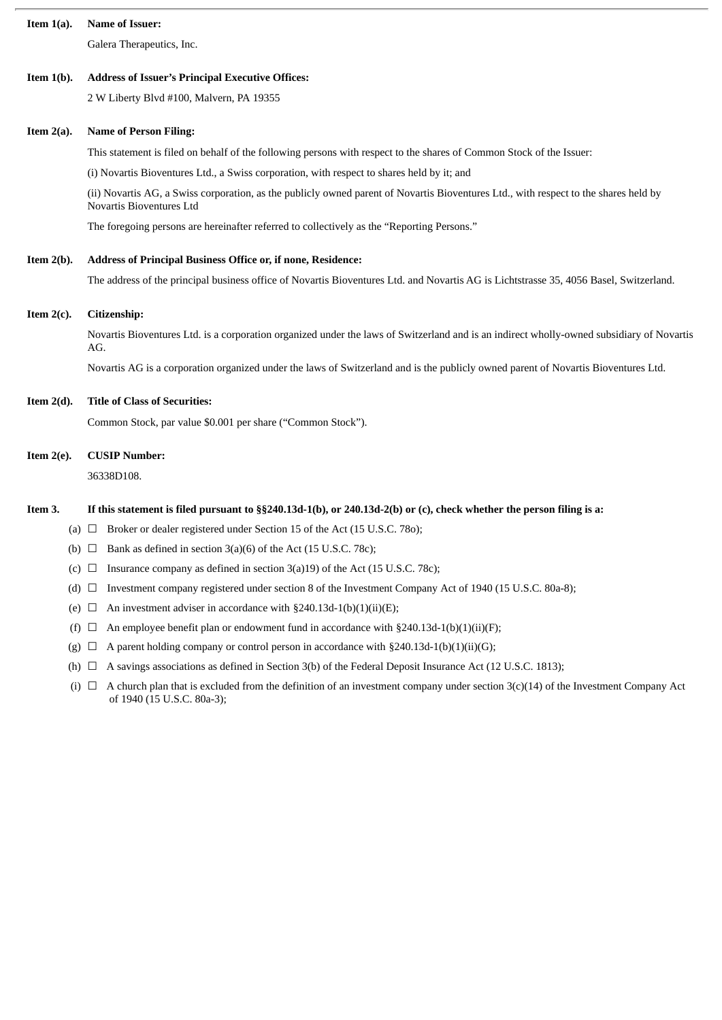| Item $1(a)$ . | Name of Issuer:                                                                                                                                                                |  |  |  |  |  |
|---------------|--------------------------------------------------------------------------------------------------------------------------------------------------------------------------------|--|--|--|--|--|
|               | Galera Therapeutics, Inc.                                                                                                                                                      |  |  |  |  |  |
| Item $1(b)$ . | <b>Address of Issuer's Principal Executive Offices:</b>                                                                                                                        |  |  |  |  |  |
|               | 2 W Liberty Blvd #100, Malvern, PA 19355                                                                                                                                       |  |  |  |  |  |
| Item $2(a)$ . | <b>Name of Person Filing:</b>                                                                                                                                                  |  |  |  |  |  |
|               | This statement is filed on behalf of the following persons with respect to the shares of Common Stock of the Issuer:                                                           |  |  |  |  |  |
|               | (i) Novartis Bioventures Ltd., a Swiss corporation, with respect to shares held by it; and                                                                                     |  |  |  |  |  |
|               | (ii) Novartis AG, a Swiss corporation, as the publicly owned parent of Novartis Bioventures Ltd., with respect to the shares held by<br>Novartis Bioventures Ltd               |  |  |  |  |  |
|               | The foregoing persons are hereinafter referred to collectively as the "Reporting Persons."                                                                                     |  |  |  |  |  |
| Item $2(b)$ . | Address of Principal Business Office or, if none, Residence:                                                                                                                   |  |  |  |  |  |
|               | The address of the principal business office of Novartis Bioventures Ltd. and Novartis AG is Lichtstrasse 35, 4056 Basel, Switzerland.                                         |  |  |  |  |  |
| Item $2(c)$ . | Citizenship:                                                                                                                                                                   |  |  |  |  |  |
|               | Novartis Bioventures Ltd. is a corporation organized under the laws of Switzerland and is an indirect wholly-owned subsidiary of Novartis<br>AG.                               |  |  |  |  |  |
|               | Novartis AG is a corporation organized under the laws of Switzerland and is the publicly owned parent of Novartis Bioventures Ltd.                                             |  |  |  |  |  |
| Item $2(d)$ . | <b>Title of Class of Securities:</b>                                                                                                                                           |  |  |  |  |  |
|               | Common Stock, par value \$0.001 per share ("Common Stock").                                                                                                                    |  |  |  |  |  |
| Item $2(e)$ . | <b>CUSIP Number:</b>                                                                                                                                                           |  |  |  |  |  |
|               | 36338D108.                                                                                                                                                                     |  |  |  |  |  |
| Item 3.       | If this statement is filed pursuant to $\S$ 240.13d-1(b), or 240.13d-2(b) or (c), check whether the person filing is a:                                                        |  |  |  |  |  |
|               | (a) $\Box$ Broker or dealer registered under Section 15 of the Act (15 U.S.C. 780);                                                                                            |  |  |  |  |  |
| (b) □         | Bank as defined in section 3(a)(6) of the Act (15 U.S.C. 78c);                                                                                                                 |  |  |  |  |  |
| (C)           | Insurance company as defined in section $3(a)19$ of the Act (15 U.S.C. 78c);<br>$\Box$                                                                                         |  |  |  |  |  |
| $(d)$ $\Box$  | Investment company registered under section 8 of the Investment Company Act of 1940 (15 U.S.C. 80a-8);                                                                         |  |  |  |  |  |
| (e)           | An investment adviser in accordance with §240.13d-1(b)(1)(ii)(E);<br>ப                                                                                                         |  |  |  |  |  |
| (f)           | An employee benefit plan or endowment fund in accordance with $\S 240.13d-1(b)(1)(ii)(F)$ ;<br>⊔                                                                               |  |  |  |  |  |
| (g)           | A parent holding company or control person in accordance with $\S 240.13d-1(b)(1)(ii)(G);$<br>⊔                                                                                |  |  |  |  |  |
| (h)           | A savings associations as defined in Section 3(b) of the Federal Deposit Insurance Act (12 U.S.C. 1813);                                                                       |  |  |  |  |  |
|               | A church plan that is excluded from the definition of an investment company under section $3(c)(14)$ of the Investment Company Act<br>$(i) \Box$<br>of 1940 (15 U.S.C. 80a-3); |  |  |  |  |  |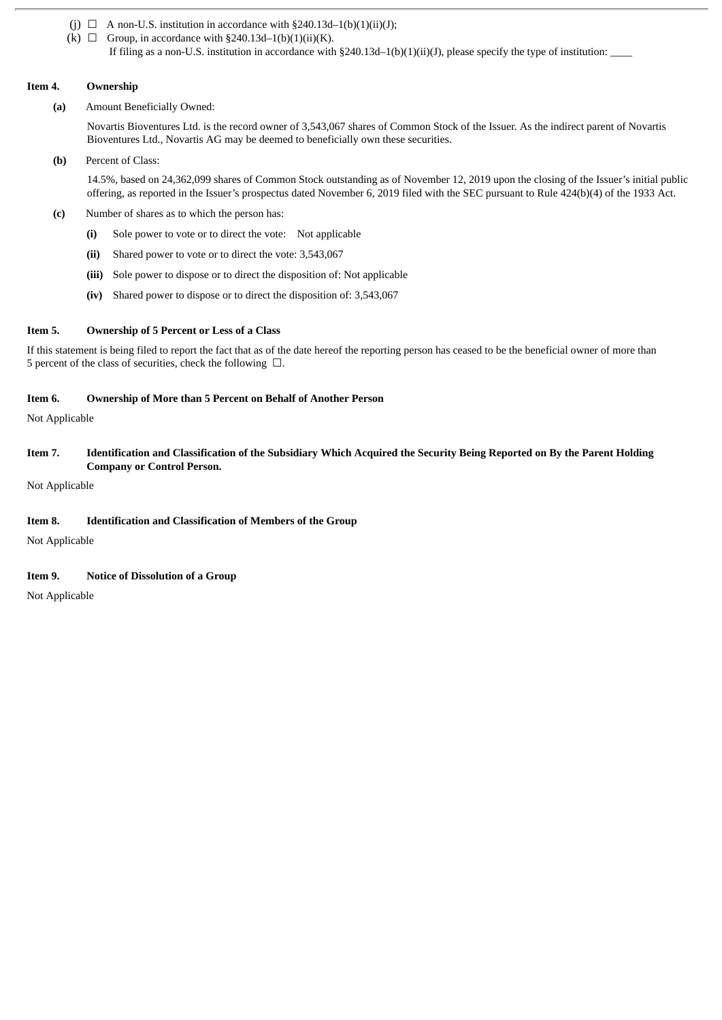- (j)  $\Box$  A non-U.S. institution in accordance with §240.13d-1(b)(1)(ii)(J);
- (k)  $\Box$  Group, in accordance with §240.13d-1(b)(1)(ii)(K). If filing as a non-U.S. institution in accordance with  $\S240.13d-1(b)(1)(ii)(J)$ , please specify the type of institution:

#### **Item 4. Ownership**

**(a)** Amount Beneficially Owned:

Novartis Bioventures Ltd. is the record owner of 3,543,067 shares of Common Stock of the Issuer. As the indirect parent of Novartis Bioventures Ltd., Novartis AG may be deemed to beneficially own these securities.

**(b)** Percent of Class:

14.5%, based on 24,362,099 shares of Common Stock outstanding as of November 12, 2019 upon the closing of the Issuer's initial public offering, as reported in the Issuer's prospectus dated November 6, 2019 filed with the SEC pursuant to Rule 424(b)(4) of the 1933 Act.

- **(c)** Number of shares as to which the person has:
	- **(i)** Sole power to vote or to direct the vote: Not applicable
	- **(ii)** Shared power to vote or to direct the vote: 3,543,067
	- **(iii)** Sole power to dispose or to direct the disposition of: Not applicable
	- **(iv)** Shared power to dispose or to direct the disposition of: 3,543,067

#### **Item 5. Ownership of 5 Percent or Less of a Class**

If this statement is being filed to report the fact that as of the date hereof the reporting person has ceased to be the beneficial owner of more than 5 percent of the class of securities, check the following  $\Box$ .

#### **Item 6. Ownership of More than 5 Percent on Behalf of Another Person**

Not Applicable

#### Item 7. Identification and Classification of the Subsidiary Which Acquired the Security Being Reported on By the Parent Holding **Company or Control Person.**

Not Applicable

#### **Item 8. Identification and Classification of Members of the Group**

Not Applicable

#### **Item 9. Notice of Dissolution of a Group**

Not Applicable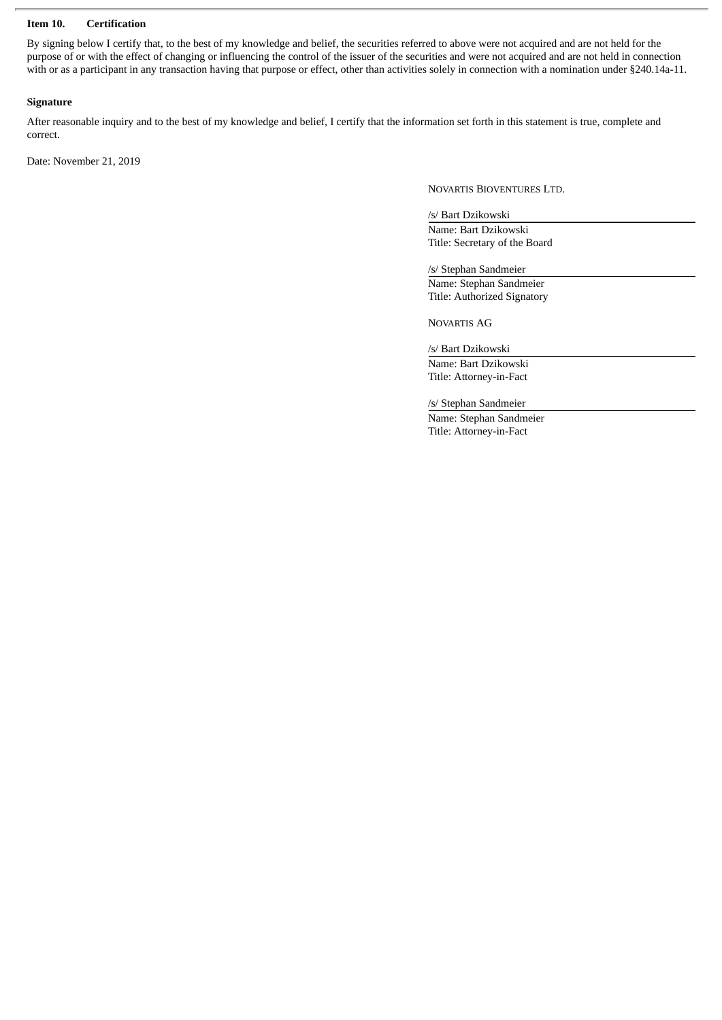#### **Item 10. Certification**

By signing below I certify that, to the best of my knowledge and belief, the securities referred to above were not acquired and are not held for the purpose of or with the effect of changing or influencing the control of the issuer of the securities and were not acquired and are not held in connection with or as a participant in any transaction having that purpose or effect, other than activities solely in connection with a nomination under §240.14a-11.

#### **Signature**

After reasonable inquiry and to the best of my knowledge and belief, I certify that the information set forth in this statement is true, complete and correct.

Date: November 21, 2019

NOVARTIS BIOVENTURES LTD.

/s/ Bart Dzikowski

Name: Bart Dzikowski Title: Secretary of the Board

/s/ Stephan Sandmeier Name: Stephan Sandmeier Title: Authorized Signatory

NOVARTIS AG

/s/ Bart Dzikowski

Name: Bart Dzikowski Title: Attorney-in-Fact

/s/ Stephan Sandmeier

Name: Stephan Sandmeier Title: Attorney-in-Fact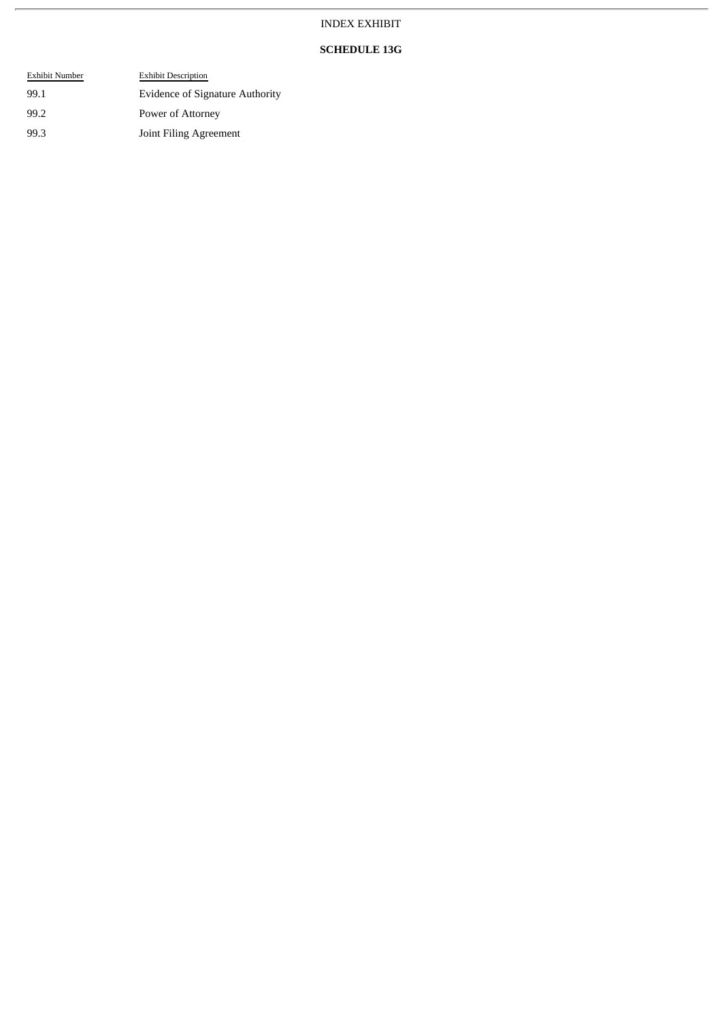### INDEX EXHIBIT

#### **SCHEDULE 13G**

| Exhibit Number | <b>Exhibit Description</b>             |
|----------------|----------------------------------------|
| 99.1           | <b>Evidence of Signature Authority</b> |
| 99.2           | Power of Attorney                      |
| 99.3           | Joint Filing Agreement                 |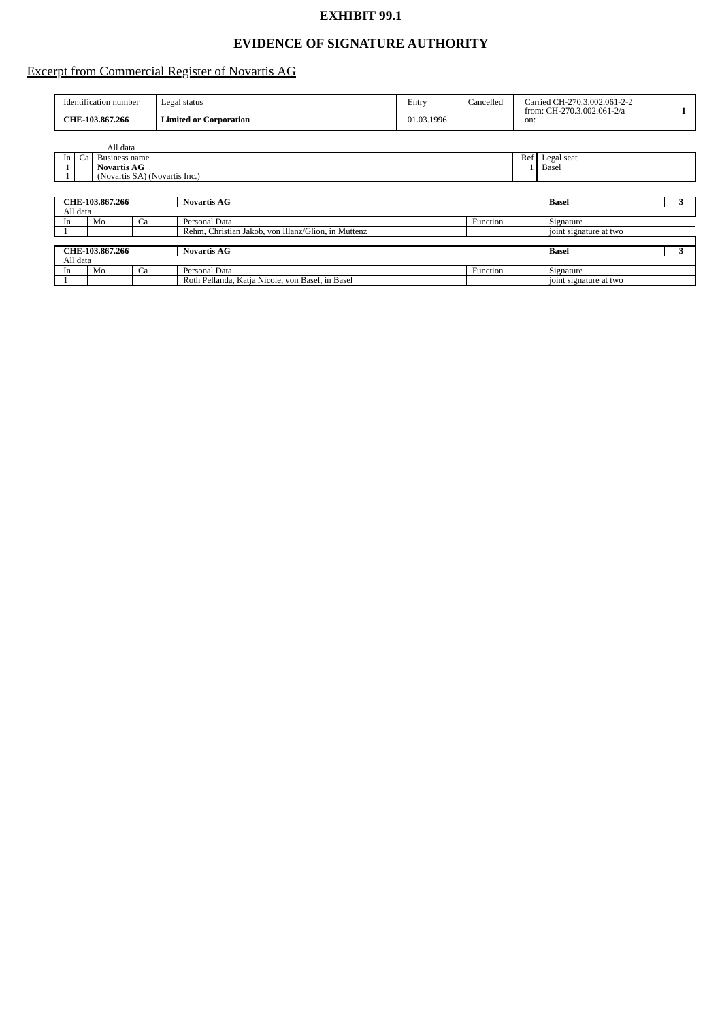## **EXHIBIT 99.1**

## **EVIDENCE OF SIGNATURE AUTHORITY**

## Excerpt from Commercial Register of Novartis AG

| Identification number | Legal status                  | Entry      | Cancelled | Carried CH-270.3.002.061-2-2<br>from: CH-270.3.002.061-2/a |  |
|-----------------------|-------------------------------|------------|-----------|------------------------------------------------------------|--|
| CHE-103.867.266       | <b>Limited or Corporation</b> | 01.03.1996 |           | on:                                                        |  |

|                 | All data                                |    |                                                     |          |                        |            |  |  |
|-----------------|-----------------------------------------|----|-----------------------------------------------------|----------|------------------------|------------|--|--|
| In              | Ca<br>Ref <sub>l</sub><br>Business name |    |                                                     |          |                        | Legal seat |  |  |
|                 | <b>Novartis AG</b>                      |    |                                                     |          | Basel                  |            |  |  |
|                 | (Novartis SA) (Novartis Inc.)           |    |                                                     |          |                        |            |  |  |
|                 |                                         |    |                                                     |          |                        |            |  |  |
|                 | CHE-103.867.266<br><b>Novartis AG</b>   |    |                                                     |          |                        | 3          |  |  |
| All data        |                                         |    |                                                     |          |                        |            |  |  |
| In              | Mo                                      | Ca | Personal Data                                       | Function | Signature              |            |  |  |
|                 |                                         |    | Rehm, Christian Jakob, von Illanz/Glion, in Muttenz |          | joint signature at two |            |  |  |
|                 |                                         |    |                                                     |          |                        |            |  |  |
| CHE-103.867.266 |                                         |    | <b>Novartis AG</b>                                  |          |                        | 3          |  |  |
| All data        |                                         |    |                                                     |          |                        |            |  |  |
| In              | Mo                                      | Ca | Personal Data                                       | Function | Signature              |            |  |  |
|                 |                                         |    | Roth Pellanda, Katja Nicole, von Basel, in Basel    |          | joint signature at two |            |  |  |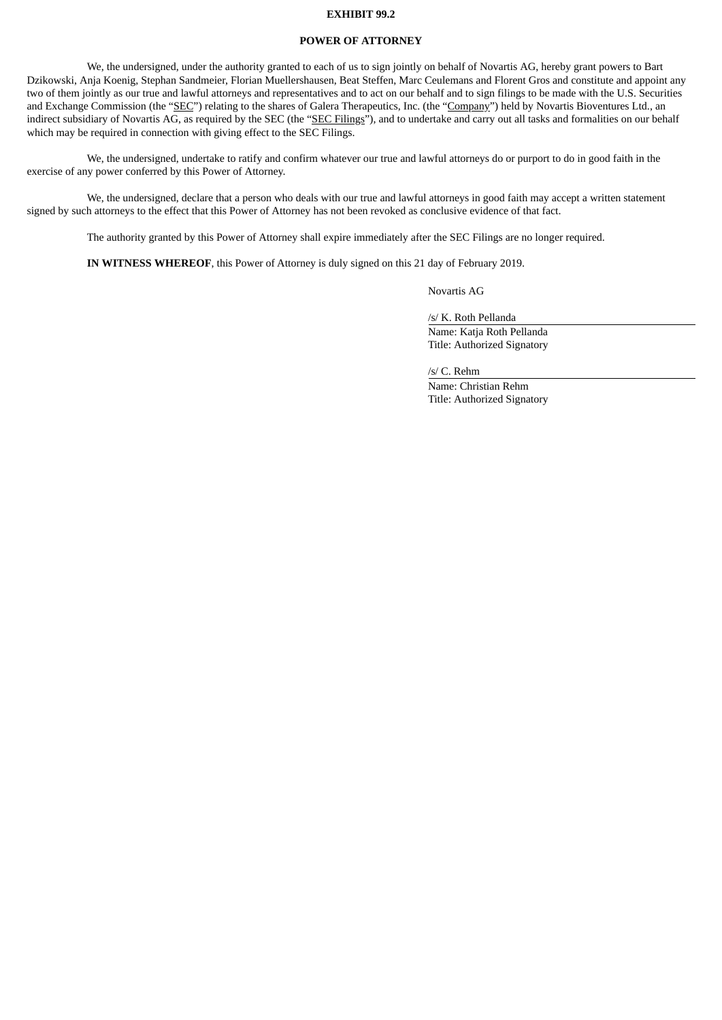#### **EXHIBIT 99.2**

#### **POWER OF ATTORNEY**

We, the undersigned, under the authority granted to each of us to sign jointly on behalf of Novartis AG, hereby grant powers to Bart Dzikowski, Anja Koenig, Stephan Sandmeier, Florian Muellershausen, Beat Steffen, Marc Ceulemans and Florent Gros and constitute and appoint any two of them jointly as our true and lawful attorneys and representatives and to act on our behalf and to sign filings to be made with the U.S. Securities and Exchange Commission (the "SEC") relating to the shares of Galera Therapeutics, Inc. (the "Company") held by Novartis Bioventures Ltd., an indirect subsidiary of Novartis AG, as required by the SEC (the "SEC Filings"), and to undertake and carry out all tasks and formalities on our behalf which may be required in connection with giving effect to the SEC Filings.

We, the undersigned, undertake to ratify and confirm whatever our true and lawful attorneys do or purport to do in good faith in the exercise of any power conferred by this Power of Attorney.

We, the undersigned, declare that a person who deals with our true and lawful attorneys in good faith may accept a written statement signed by such attorneys to the effect that this Power of Attorney has not been revoked as conclusive evidence of that fact.

The authority granted by this Power of Attorney shall expire immediately after the SEC Filings are no longer required.

**IN WITNESS WHEREOF**, this Power of Attorney is duly signed on this 21 day of February 2019.

Novartis AG

/s/ K. Roth Pellanda

Name: Katja Roth Pellanda Title: Authorized Signatory

/s/ C. Rehm

Name: Christian Rehm Title: Authorized Signatory